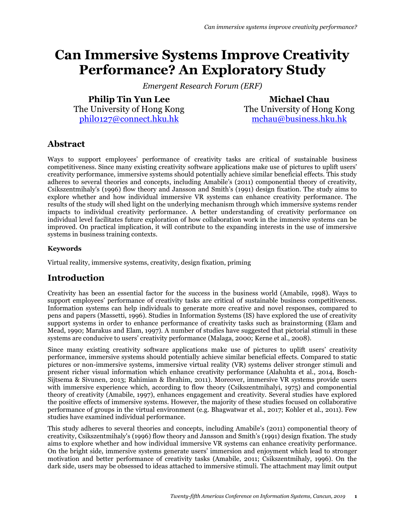# **Can Immersive Systems Improve Creativity Performance? An Exploratory Study**

*Emergent Research Forum (ERF)*

**Philip Tin Yun Lee** The University of Hong Kong [phil0127@connect.hku.hk](mailto:phil0127@hku.hk)

**Michael Chau** The University of Hong Kong [mchau@business.hku.hk](mailto:mchau@business.hku.hk)

# **Abstract**

Ways to support employees' performance of creativity tasks are critical of sustainable business competitiveness. Since many existing creativity software applications make use of pictures to uplift users' creativity performance, immersive systems should potentially achieve similar beneficial effects. This study adheres to several theories and concepts, including Amabile's (2011) componential theory of creativity, Csikszentmihaly's (1996) flow theory and Jansson and Smith's (1991) design fixation. The study aims to explore whether and how individual immersive VR systems can enhance creativity performance. The results of the study will shed light on the underlying mechanism through which immersive systems render impacts to individual creativity performance. A better understanding of creativity performance on individual level facilitates future exploration of how collaboration work in the immersive systems can be improved. On practical implication, it will contribute to the expanding interests in the use of immersive systems in business training contexts.

#### **Keywords**

Virtual reality, immersive systems, creativity, design fixation, priming

## **Introduction**

Creativity has been an essential factor for the success in the business world (Amabile, 1998). Ways to support employees' performance of creativity tasks are critical of sustainable business competitiveness. Information systems can help individuals to generate more creative and novel responses, compared to pens and papers (Massetti, 1996). Studies in Information Systems (IS) have explored the use of creativity support systems in order to enhance performance of creativity tasks such as brainstorming (Elam and Mead, 1990; Marakus and Elam, 1997). A number of studies have suggested that pictorial stimuli in these systems are conducive to users' creativity performance (Malaga, 2000; Kerne et al., 2008).

Since many existing creativity software applications make use of pictures to uplift users' creativity performance, immersive systems should potentially achieve similar beneficial effects. Compared to static pictures or non-immersive systems, immersive virtual reality (VR) systems deliver stronger stimuli and present richer visual information which enhance creativity performance (Alahuhta et al., 2014, Bosch-Sijtsema & Sivunen, 2013; Rahimian & Ibrahim, 2011). Moreover, immersive VR systems provide users with immersive experience which, according to flow theory (Csikszentmihalyi, 1975) and componential theory of creativity (Amabile, 1997), enhances engagement and creativity. Several studies have explored the positive effects of immersive systems. However, the majority of these studies focused on collaborative performance of groups in the virtual environment (e.g. Bhagwatwar et al., 2017; Kohler et al., 2011). Few studies have examined individual performance.

This study adheres to several theories and concepts, including Amabile's (2011) componential theory of creativity, Csikszentmihaly's (1996) flow theory and Jansson and Smith's (1991) design fixation. The study aims to explore whether and how individual immersive VR systems can enhance creativity performance. On the bright side, immersive systems generate users' immersion and enjoyment which lead to stronger motivation and better performance of creativity tasks (Amabile, 2011; Csikszentmihaly, 1996). On the dark side, users may be obsessed to ideas attached to immersive stimuli. The attachment may limit output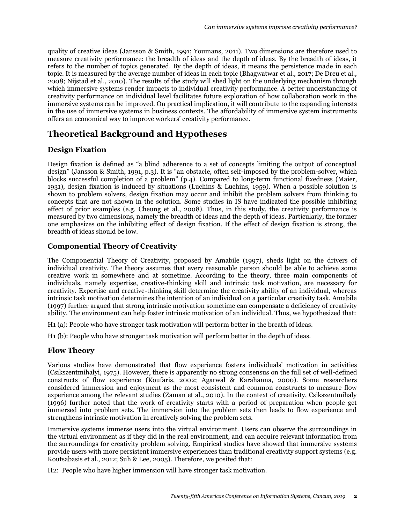quality of creative ideas (Jansson & Smith, 1991; Youmans, 2011). Two dimensions are therefore used to measure creativity performance: the breadth of ideas and the depth of ideas. By the breadth of ideas, it refers to the number of topics generated. By the depth of ideas, it means the persistence made in each topic. It is measured by the average number of ideas in each topic (Bhagwatwar et al., 2017; De Dreu et al., 2008; Nijstad et al., 2010). The results of the study will shed light on the underlying mechanism through which immersive systems render impacts to individual creativity performance. A better understanding of creativity performance on individual level facilitates future exploration of how collaboration work in the immersive systems can be improved. On practical implication, it will contribute to the expanding interests in the use of immersive systems in business contexts. The affordability of immersive system instruments offers an economical way to improve workers' creativity performance.

# **Theoretical Background and Hypotheses**

#### **Design Fixation**

Design fixation is defined as "a blind adherence to a set of concepts limiting the output of conceptual design" (Jansson & Smith, 1991, p.3). It is "an obstacle, often self-imposed by the problem-solver, which blocks successful completion of a problem" (p.4). Compared to long-term functional fixedness (Maier, 1931), design fixation is induced by situations (Luchins & Luchins, 1959). When a possible solution is shown to problem solvers, design fixation may occur and inhibit the problem solvers from thinking to concepts that are not shown in the solution. Some studies in IS have indicated the possible inhibiting effect of prior examples (e.g. Cheung et al., 2008). Thus, in this study, the creativity performance is measured by two dimensions, namely the breadth of ideas and the depth of ideas. Particularly, the former one emphasizes on the inhibiting effect of design fixation. If the effect of design fixation is strong, the breadth of ideas should be low.

#### **Componential Theory of Creativity**

The Componential Theory of Creativity, proposed by Amabile (1997), sheds light on the drivers of individual creativity. The theory assumes that every reasonable person should be able to achieve some creative work in somewhere and at sometime. According to the theory, three main components of individuals, namely expertise, creative-thinking skill and intrinsic task motivation, are necessary for creativity. Expertise and creative-thinking skill determine the creativity ability of an individual, whereas intrinsic task motivation determines the intention of an individual on a particular creativity task. Amabile (1997) further argued that strong intrinsic motivation sometime can compensate a deficiency of creativity ability. The environment can help foster intrinsic motivation of an individual. Thus, we hypothesized that:

H1 (a): People who have stronger task motivation will perform better in the breath of ideas.

H1 (b): People who have stronger task motivation will perform better in the depth of ideas.

#### **Flow Theory**

Various studies have demonstrated that flow experience fosters individuals' motivation in activities (Csikszentmihalyi, 1975). However, there is apparently no strong consensus on the full set of well-defined constructs of flow experience (Koufaris, 2002; Agarwal & Karahanna, 2000). Some researchers considered immersion and enjoyment as the most consistent and common constructs to measure flow experience among the relevant studies (Zaman et al., 2010). In the context of creativity, Csikszentmihaly (1996) further noted that the work of creativity starts with a period of preparation when people get immersed into problem sets. The immersion into the problem sets then leads to flow experience and strengthens intrinsic motivation in creatively solving the problem sets.

Immersive systems immerse users into the virtual environment. Users can observe the surroundings in the virtual environment as if they did in the real environment, and can acquire relevant information from the surroundings for creativity problem solving. Empirical studies have showed that immersive systems provide users with more persistent immersive experiences than traditional creativity support systems (e.g. Koutsabasis et al., 2012; Suh & Lee, 2005). Therefore, we posited that:

H2: People who have higher immersion will have stronger task motivation.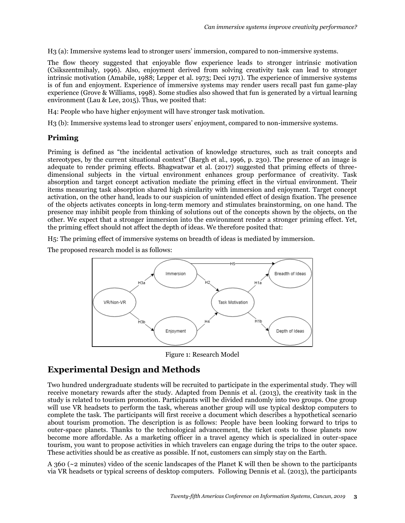H3 (a): Immersive systems lead to stronger users' immersion, compared to non-immersive systems.

The flow theory suggested that enjoyable flow experience leads to stronger intrinsic motivation (Csikszentmihaly, 1996). Also, enjoyment derived from solving creativity task can lead to stronger intrinsic motivation (Amabile, 1988; Lepper et al. 1973; Deci 1971). The experience of immersive systems is of fun and enjoyment. Experience of immersive systems may render users recall past fun game-play experience (Grove & Williams, 1998). Some studies also showed that fun is generated by a virtual learning environment (Lau & Lee, 2015). Thus, we posited that:

H4: People who have higher enjoyment will have stronger task motivation.

H3 (b): Immersive systems lead to stronger users' enjoyment, compared to non-immersive systems.

#### **Priming**

Priming is defined as "the incidental activation of knowledge structures, such as trait concepts and stereotypes, by the current situational context" (Bargh et al., 1996, p. 230). The presence of an image is adequate to render priming effects. Bhagwatwar et al. (2017) suggested that priming effects of threedimensional subjects in the virtual environment enhances group performance of creativity. Task absorption and target concept activation mediate the priming effect in the virtual environment. Their items measuring task absorption shared high similarity with immersion and enjoyment. Target concept activation, on the other hand, leads to our suspicion of unintended effect of design fixation. The presence of the objects activates concepts in long-term memory and stimulates brainstorming, on one hand. The presence may inhibit people from thinking of solutions out of the concepts shown by the objects, on the other. We expect that a stronger immersion into the environment render a stronger priming effect. Yet, the priming effect should not affect the depth of ideas. We therefore posited that:

H5: The priming effect of immersive systems on breadth of ideas is mediated by immersion.

The proposed research model is as follows:



Figure 1: Research Model

## **Experimental Design and Methods**

Two hundred undergraduate students will be recruited to participate in the experimental study. They will receive monetary rewards after the study. Adapted from Dennis et al. (2013), the creativity task in the study is related to tourism promotion. Participants will be divided randomly into two groups. One group will use VR headsets to perform the task, whereas another group will use typical desktop computers to complete the task. The participants will first receive a document which describes a hypothetical scenario about tourism promotion. The description is as follows: People have been looking forward to trips to outer-space planets. Thanks to the technological advancement, the ticket costs to those planets now become more affordable. As a marketing officer in a travel agency which is specialized in outer-space tourism, you want to propose activities in which travelers can engage during the trips to the outer space. These activities should be as creative as possible. If not, customers can simply stay on the Earth.

A 360 (~2 minutes) video of the scenic landscapes of the Planet K will then be shown to the participants via VR headsets or typical screens of desktop computers. Following Dennis et al. (2013), the participants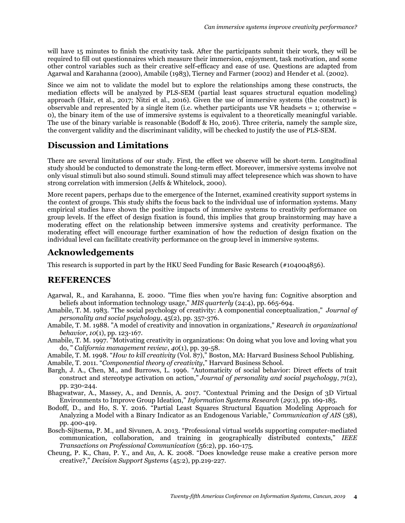will have 15 minutes to finish the creativity task. After the participants submit their work, they will be required to fill out questionnaires which measure their immersion, enjoyment, task motivation, and some other control variables such as their creative self-efficacy and ease of use. Questions are adapted from Agarwal and Karahanna (2000), Amabile (1983), Tierney and Farmer (2002) and Hender et al. (2002).

Since we aim not to validate the model but to explore the relationships among these constructs, the mediation effects will be analyzed by PLS-SEM (partial least squares structural equation modeling) approach (Hair, et al., 2017; Nitzi et al., 2016). Given the use of immersive systems (the construct) is observable and represented by a single item (i.e. whether participants use VR headsets  $= 1$ ; otherwise  $=$ 0), the binary item of the use of immersive systems is equivalent to a theoretically meaningful variable. The use of the binary variable is reasonable (Bodoff & Ho, 2016). Three criteria, namely the sample size, the convergent validity and the discriminant validity, will be checked to justify the use of PLS-SEM.

## **Discussion and Limitations**

There are several limitations of our study. First, the effect we observe will be short-term. Longitudinal study should be conducted to demonstrate the long-term effect. Moreover, immersive systems involve not only visual stimuli but also sound stimuli. Sound stimuli may affect telepresence which was shown to have strong correlation with immersion (Jelfs & Whitelock, 2000).

More recent papers, perhaps due to the emergence of the Internet, examined creativity support systems in the context of groups. This study shifts the focus back to the individual use of information systems. Many empirical studies have shown the positive impacts of immersive systems to creativity performance on group levels. If the effect of design fixation is found, this implies that group brainstorming may have a moderating effect on the relationship between immersive systems and creativity performance. The moderating effect will encourage further examination of how the reduction of design fixation on the individual level can facilitate creativity performance on the group level in immersive systems.

### **Acknowledgements**

This research is supported in part by the HKU Seed Funding for Basic Research (#104004856).

## **REFERENCES**

- Agarwal, R., and Karahanna, E. 2000. "Time flies when you're having fun: Cognitive absorption and beliefs about information technology usage," *MIS quarterly* (24:4), pp. 665-694.
- Amabile, T. M. 1983. "The social psychology of creativity: A componential conceptualization," *Journal of personality and social psychology*, 45(2), pp. 357-376.
- Amabile, T. M. 1988. "A model of creativity and innovation in organizations," *Research in organizational behavior*, *10*(1), pp. 123-167.
- Amabile, T. M. 1997. "Motivating creativity in organizations: On doing what you love and loving what you do, " *California management review*, *40*(1), pp. 39-58.
- Amabile, T. M. 1998. "*How to kill creativity* (Vol. 87)," Boston, MA: Harvard Business School Publishing.

Amabile, T. 2011. "*Componential theory of creativity*," Harvard Business School.

- Bargh, J. A., Chen, M., and Burrows, L. 1996. "Automaticity of social behavior: Direct effects of trait construct and stereotype activation on action," *Journal of personality and social psychology*, *71*(2), pp. 230-244.
- Bhagwatwar, A., Massey, A., and Dennis, A. 2017. "Contextual Priming and the Design of 3D Virtual Environments to Improve Group Ideation," *Information Systems Research* (*29*:1), pp. 169-185.
- Bodoff, D., and Ho, S. Y. 2016. "Partial Least Squares Structural Equation Modeling Approach for Analyzing a Model with a Binary Indicator as an Endogenous Variable," *Communication of AIS* (38), pp. 400-419.
- Bosch-Sijtsema, P. M., and Sivunen, A. 2013. "Professional virtual worlds supporting computer-mediated communication, collaboration, and training in geographically distributed contexts," *IEEE Transactions on Professional Communication* (56:2), pp. 160-175.
- Cheung, P. K., Chau, P. Y., and Au, A. K. 2008. "Does knowledge reuse make a creative person more creative?," *Decision Support Systems* (45:2), pp.219-227.